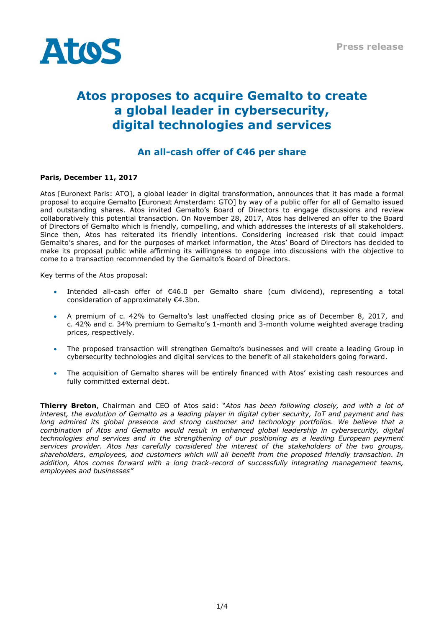

# **Atos proposes to acquire Gemalto to create a global leader in cybersecurity, digital technologies and services**

# **An all-cash offer of €46 per share**

# **Paris, December 11, 2017**

Atos [Euronext Paris: ATO], a global leader in digital transformation, announces that it has made a formal proposal to acquire Gemalto [Euronext Amsterdam: GTO] by way of a public offer for all of Gemalto issued and outstanding shares. Atos invited Gemalto's Board of Directors to engage discussions and review collaboratively this potential transaction. On November 28, 2017, Atos has delivered an offer to the Board of Directors of Gemalto which is friendly, compelling, and which addresses the interests of all stakeholders. Since then, Atos has reiterated its friendly intentions. Considering increased risk that could impact Gemalto's shares, and for the purposes of market information, the Atos' Board of Directors has decided to make its proposal public while affirming its willingness to engage into discussions with the objective to come to a transaction recommended by the Gemalto's Board of Directors.

Key terms of the Atos proposal:

- Intended all-cash offer of €46.0 per Gemalto share (cum dividend), representing a total consideration of approximately €4.3bn.
- A premium of c. 42% to Gemalto's last unaffected closing price as of December 8, 2017, and c. 42% and c. 34% premium to Gemalto's 1-month and 3-month volume weighted average trading prices, respectively.
- The proposed transaction will strengthen Gemalto's businesses and will create a leading Group in cybersecurity technologies and digital services to the benefit of all stakeholders going forward.
- The acquisition of Gemalto shares will be entirely financed with Atos' existing cash resources and fully committed external debt.

**Thierry Breton**, Chairman and CEO of Atos said: "*Atos has been following closely, and with a lot of interest, the evolution of Gemalto as a leading player in digital cyber security, IoT and payment and has*  long admired its global presence and strong customer and technology portfolios. We believe that a *combination of Atos and Gemalto would result in enhanced global leadership in cybersecurity, digital technologies and services and in the strengthening of our positioning as a leading European payment services provider. Atos has carefully considered the interest of the stakeholders of the two groups, shareholders, employees, and customers which will all benefit from the proposed friendly transaction. In addition, Atos comes forward with a long track-record of successfully integrating management teams, employees and businesses"*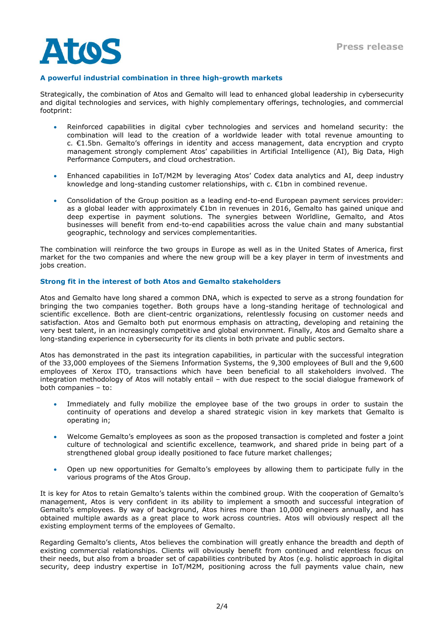

# **A powerful industrial combination in three high-growth markets**

Strategically, the combination of Atos and Gemalto will lead to enhanced global leadership in cybersecurity and digital technologies and services, with highly complementary offerings, technologies, and commercial footprint:

- Reinforced capabilities in digital cyber technologies and services and homeland security: the combination will lead to the creation of a worldwide leader with total revenue amounting to c. €1.5bn. Gemalto's offerings in identity and access management, data encryption and crypto management strongly complement Atos' capabilities in Artificial Intelligence (AI), Big Data, High Performance Computers, and cloud orchestration.
- Enhanced capabilities in IoT/M2M by leveraging Atos' Codex data analytics and AI, deep industry knowledge and long-standing customer relationships, with c. €1bn in combined revenue.
- Consolidation of the Group position as a leading end-to-end European payment services provider: as a global leader with approximately €1bn in revenues in 2016, Gemalto has gained unique and deep expertise in payment solutions. The synergies between Worldline, Gemalto, and Atos businesses will benefit from end-to-end capabilities across the value chain and many substantial geographic, technology and services complementarities.

The combination will reinforce the two groups in Europe as well as in the United States of America, first market for the two companies and where the new group will be a key player in term of investments and jobs creation.

#### **Strong fit in the interest of both Atos and Gemalto stakeholders**

Atos and Gemalto have long shared a common DNA, which is expected to serve as a strong foundation for bringing the two companies together. Both groups have a long-standing heritage of technological and scientific excellence. Both are client-centric organizations, relentlessly focusing on customer needs and satisfaction. Atos and Gemalto both put enormous emphasis on attracting, developing and retaining the very best talent, in an increasingly competitive and global environment. Finally, Atos and Gemalto share a long-standing experience in cybersecurity for its clients in both private and public sectors.

Atos has demonstrated in the past its integration capabilities, in particular with the successful integration of the 33,000 employees of the Siemens Information Systems, the 9,300 employees of Bull and the 9,600 employees of Xerox ITO, transactions which have been beneficial to all stakeholders involved. The integration methodology of Atos will notably entail – with due respect to the social dialogue framework of both companies – to:

- Immediately and fully mobilize the employee base of the two groups in order to sustain the continuity of operations and develop a shared strategic vision in key markets that Gemalto is operating in;
- Welcome Gemalto's employees as soon as the proposed transaction is completed and foster a joint culture of technological and scientific excellence, teamwork, and shared pride in being part of a strengthened global group ideally positioned to face future market challenges;
- Open up new opportunities for Gemalto's employees by allowing them to participate fully in the various programs of the Atos Group.

It is key for Atos to retain Gemalto's talents within the combined group. With the cooperation of Gemalto's management, Atos is very confident in its ability to implement a smooth and successful integration of Gemalto's employees. By way of background, Atos hires more than 10,000 engineers annually, and has obtained multiple awards as a great place to work across countries. Atos will obviously respect all the existing employment terms of the employees of Gemalto.

Regarding Gemalto's clients, Atos believes the combination will greatly enhance the breadth and depth of existing commercial relationships. Clients will obviously benefit from continued and relentless focus on their needs, but also from a broader set of capabilities contributed by Atos (e.g. holistic approach in digital security, deep industry expertise in IoT/M2M, positioning across the full payments value chain, new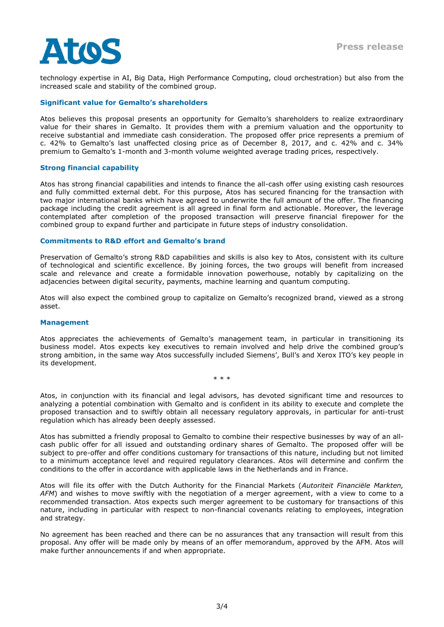technology expertise in AI, Big Data, High Performance Computing, cloud orchestration) but also from the increased scale and stability of the combined group.

# **Significant value for Gemalto's shareholders**

Atos believes this proposal presents an opportunity for Gemalto's shareholders to realize extraordinary value for their shares in Gemalto. It provides them with a premium valuation and the opportunity to receive substantial and immediate cash consideration. The proposed offer price represents a premium of c. 42% to Gemalto's last unaffected closing price as of December 8, 2017, and c. 42% and c. 34% premium to Gemalto's 1-month and 3-month volume weighted average trading prices, respectively.

## **Strong financial capability**

Atos has strong financial capabilities and intends to finance the all-cash offer using existing cash resources and fully committed external debt. For this purpose, Atos has secured financing for the transaction with two major international banks which have agreed to underwrite the full amount of the offer. The financing package including the credit agreement is all agreed in final form and actionable. Moreover, the leverage contemplated after completion of the proposed transaction will preserve financial firepower for the combined group to expand further and participate in future steps of industry consolidation.

#### **Commitments to R&D effort and Gemalto's brand**

Preservation of Gemalto's strong R&D capabilities and skills is also key to Atos, consistent with its culture of technological and scientific excellence. By joining forces, the two groups will benefit from increased scale and relevance and create a formidable innovation powerhouse, notably by capitalizing on the adjacencies between digital security, payments, machine learning and quantum computing.

Atos will also expect the combined group to capitalize on Gemalto's recognized brand, viewed as a strong asset.

#### **Management**

Atos appreciates the achievements of Gemalto's management team, in particular in transitioning its business model. Atos expects key executives to remain involved and help drive the combined group's strong ambition, in the same way Atos successfully included Siemens', Bull's and Xerox ITO's key people in its development.

\* \* \*

Atos, in conjunction with its financial and legal advisors, has devoted significant time and resources to analyzing a potential combination with Gemalto and is confident in its ability to execute and complete the proposed transaction and to swiftly obtain all necessary regulatory approvals, in particular for anti-trust regulation which has already been deeply assessed.

Atos has submitted a friendly proposal to Gemalto to combine their respective businesses by way of an allcash public offer for all issued and outstanding ordinary shares of Gemalto. The proposed offer will be subject to pre-offer and offer conditions customary for transactions of this nature, including but not limited to a minimum acceptance level and required regulatory clearances. Atos will determine and confirm the conditions to the offer in accordance with applicable laws in the Netherlands and in France.

Atos will file its offer with the Dutch Authority for the Financial Markets (*Autoriteit Financiële Markten, AFM*) and wishes to move swiftly with the negotiation of a merger agreement, with a view to come to a recommended transaction. Atos expects such merger agreement to be customary for transactions of this nature, including in particular with respect to non-financial covenants relating to employees, integration and strategy.

No agreement has been reached and there can be no assurances that any transaction will result from this proposal. Any offer will be made only by means of an offer memorandum, approved by the AFM. Atos will make further announcements if and when appropriate.